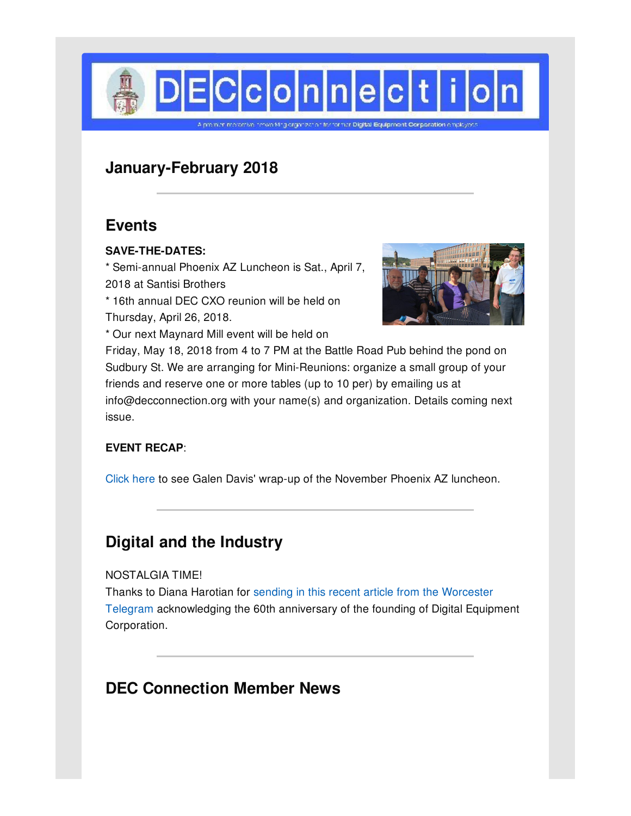

# **January-February 2018**

## **Events**

### **SAVE-THE-DATES:**

\* Semi-annual Phoenix AZ Luncheon is Sat., April 7, 2018 at Santisi Brothers

\* 16th annual DEC CXO reunion will be held on Thursday, April 26, 2018.

\* Our next Maynard Mill event will be held on



Friday, May 18, 2018 from 4 to 7 PM at the Battle Road Pub behind the pond on Sudbury St. We are arranging for Mini-Reunions: organize a small group of your friends and reserve one or more tables (up to 10 per) by emailing us at info@decconnection.org with your name(s) and organization. Details coming next issue.

### **EVENT RECAP**:

[Click](http://www.decconnection.org/arizona.htm) here to see Galen Davis' wrap-up of the November Phoenix AZ luncheon.

# **Digital and the Industry**

#### NOSTALGIA TIME!

Thanks to Diana Harotian for sending in this recent article from the Worcester Telegram [acknowledging](http://www.telegram.com/news/20171118/digital-equipment-born-60-years-ago-in-maynard) the 60th anniversary of the founding of Digital Equipment Corporation.

# **DEC Connection Member News**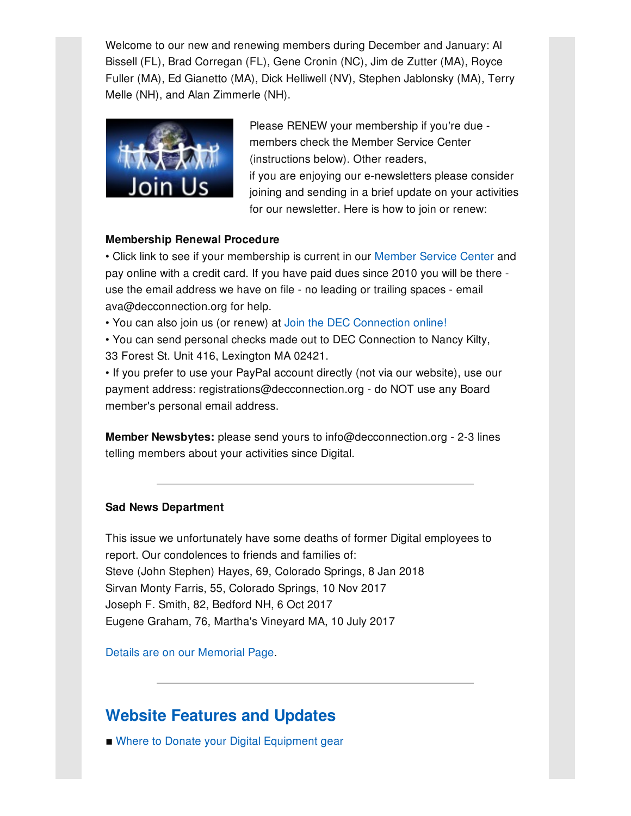Welcome to our new and renewing members during December and January: Al Bissell (FL), Brad Corregan (FL), Gene Cronin (NC), Jim de Zutter (MA), Royce Fuller (MA), Ed Gianetto (MA), Dick Helliwell (NV), Stephen Jablonsky (MA), Terry Melle (NH), and Alan Zimmerle (NH).



Please RENEW your membership if you're due members check the Member Service Center (instructions below). Other readers, if you are enjoying our e-newsletters please consider joining and sending in a brief update on your activities for our newsletter. Here is how to join or renew:

#### **Membership Renewal Procedure**

• Click link to see if your membership is current in our [Member](http://www.decconnection.org/msclogin.php) Service Center and pay online with a credit card. If you have paid dues since 2010 you will be there use the email address we have on file - no leading or trailing spaces - email ava@decconnection.org for help.

• You can also join us (or renew) at Join the DEC [Connection](http://www.decconnection.org/join-online.htm) online!

• You can send personal checks made out to DEC Connection to Nancy Kilty, 33 Forest St. Unit 416, Lexington MA 02421.

• If you prefer to use your PayPal account directly (not via our website), use our payment address: registrations@decconnection.org - do NOT use any Board member's personal email address.

**Member Newsbytes:** please send yours to info@decconnection.org - 2-3 lines telling members about your activities since Digital.

#### **Sad News Department**

This issue we unfortunately have some deaths of former Digital employees to report. Our condolences to friends and families of: Steve (John Stephen) Hayes, 69, Colorado Springs, 8 Jan 2018 Sirvan Monty Farris, 55, Colorado Springs, 10 Nov 2017 Joseph F. Smith, 82, Bedford NH, 6 Oct 2017 Eugene Graham, 76, Martha's Vineyard MA, 10 July 2017

Details are on our [Memorial](http://www.decconnection.org/memorials.htm) Page.

## **Website [Features](http://www.decconnection.org) and Updates**

■ Where to Donate your Digital [Equipment](http://www.decconnection.org/DECdonations.htm) gear